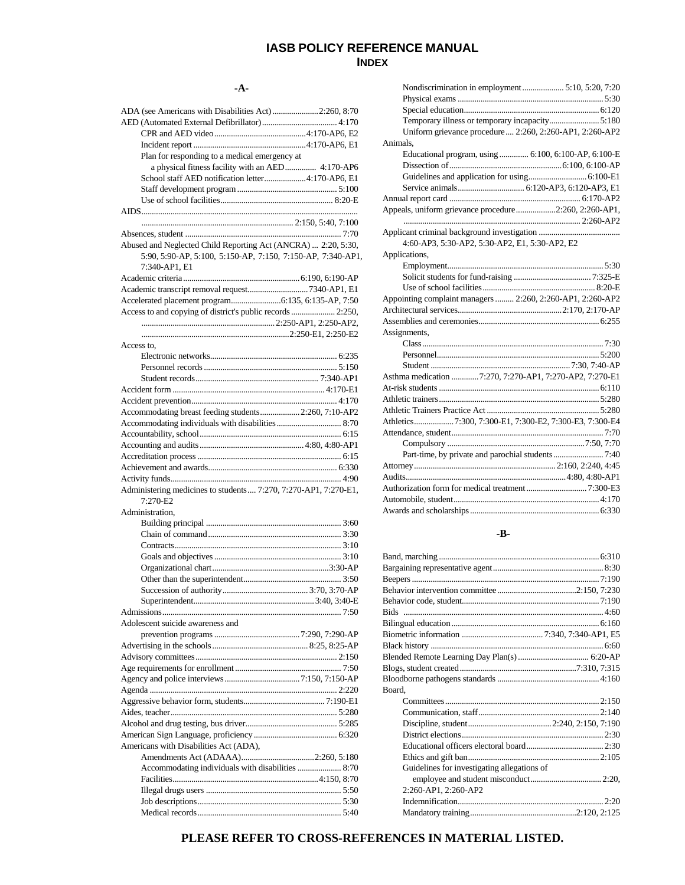# **IASB POLICY REFERENCE MANUAL INDEX**

#### **-A-**

| ADA (see Americans with Disabilities Act) 2:260, 8:70           |
|-----------------------------------------------------------------|
|                                                                 |
|                                                                 |
|                                                                 |
|                                                                 |
| Plan for responding to a medical emergency at                   |
| a physical fitness facility with an AED 4:170-AP6               |
| School staff AED notification letter4:170-AP6, E1               |
|                                                                 |
|                                                                 |
|                                                                 |
|                                                                 |
|                                                                 |
|                                                                 |
|                                                                 |
| Abused and Neglected Child Reporting Act (ANCRA)  2:20, 5:30,   |
| 5:90, 5:90-AP, 5:100, 5:150-AP, 7:150, 7:150-AP, 7:340-AP1,     |
| 7:340-AP1, E1                                                   |
|                                                                 |
|                                                                 |
| Academic transcript removal request7340-AP1, E1                 |
|                                                                 |
|                                                                 |
| Access to and copying of district's public records  2:250,      |
|                                                                 |
|                                                                 |
| Access to,                                                      |
|                                                                 |
|                                                                 |
|                                                                 |
|                                                                 |
|                                                                 |
|                                                                 |
|                                                                 |
| Accommodating breast feeding students 2:260, 7:10-AP2           |
|                                                                 |
|                                                                 |
|                                                                 |
|                                                                 |
|                                                                 |
|                                                                 |
|                                                                 |
|                                                                 |
|                                                                 |
| Administering medicines to students 7:270, 7:270-AP1, 7:270-E1, |
| 7:270-E2                                                        |
|                                                                 |
| Administration,                                                 |
|                                                                 |
|                                                                 |
|                                                                 |
|                                                                 |
|                                                                 |
|                                                                 |
|                                                                 |
|                                                                 |
|                                                                 |
|                                                                 |
|                                                                 |
| Adolescent suicide awareness and                                |
|                                                                 |
|                                                                 |
|                                                                 |
|                                                                 |
|                                                                 |
|                                                                 |
|                                                                 |
|                                                                 |
|                                                                 |
|                                                                 |
|                                                                 |
|                                                                 |
|                                                                 |
| Americans with Disabilities Act (ADA),                          |
|                                                                 |
| Accommodating individuals with disabilities  8:70               |
|                                                                 |
|                                                                 |
|                                                                 |
|                                                                 |

| Nondiscrimination in employment  5:10, 5:20, 7:20          |  |
|------------------------------------------------------------|--|
|                                                            |  |
|                                                            |  |
| Temporary illness or temporary incapacity 5:180            |  |
| Uniform grievance procedure 2:260, 2:260-AP1, 2:260-AP2    |  |
| Animals.                                                   |  |
| Educational program, using  6:100, 6:100-AP, 6:100-E       |  |
|                                                            |  |
|                                                            |  |
|                                                            |  |
|                                                            |  |
| Appeals, uniform grievance procedure2:260, 2:260-AP1,      |  |
|                                                            |  |
|                                                            |  |
| 4:60-AP3, 5:30-AP2, 5:30-AP2, E1, 5:30-AP2, E2             |  |
| Applications,                                              |  |
|                                                            |  |
|                                                            |  |
|                                                            |  |
| Appointing complaint managers  2:260, 2:260-AP1, 2:260-AP2 |  |
|                                                            |  |
|                                                            |  |
| Assignments,                                               |  |
|                                                            |  |
|                                                            |  |
|                                                            |  |
| Asthma medication 7:270, 7:270-AP1, 7:270-AP2, 7:270-E1    |  |
|                                                            |  |
|                                                            |  |
|                                                            |  |
| Athletics7:300, 7:300-E1, 7:300-E2, 7:300-E3, 7:300-E4     |  |
|                                                            |  |
|                                                            |  |
|                                                            |  |
|                                                            |  |
|                                                            |  |
|                                                            |  |
|                                                            |  |
|                                                            |  |
|                                                            |  |

### **-B-**

| Board.                                      |  |
|---------------------------------------------|--|
|                                             |  |
|                                             |  |
|                                             |  |
|                                             |  |
|                                             |  |
|                                             |  |
| Guidelines for investigating allegations of |  |
|                                             |  |
| 2:260-AP1, 2:260-AP2                        |  |
|                                             |  |
|                                             |  |

# **PLEASE REFER TO CROSS-REFERENCES IN MATERIAL LISTED.**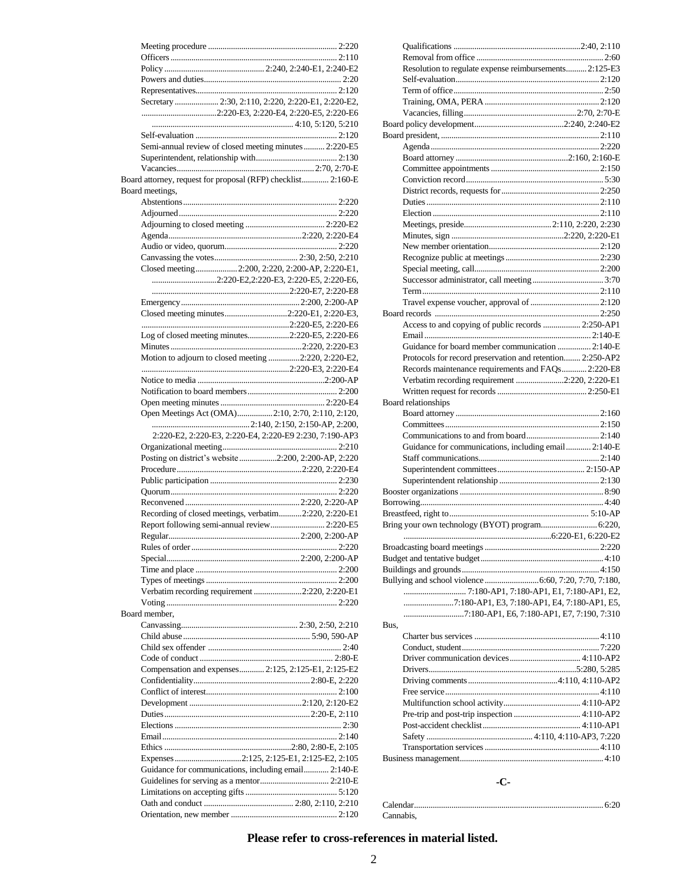| Secretary  2:30, 2:110, 2:220, 2:220-E1, 2:220-E2,           |  |
|--------------------------------------------------------------|--|
|                                                              |  |
|                                                              |  |
|                                                              |  |
| Semi-annual review of closed meeting minutes  2:220-E5       |  |
|                                                              |  |
|                                                              |  |
| Board attorney, request for proposal (RFP) checklist 2:160-E |  |
| Board meetings.                                              |  |
|                                                              |  |
|                                                              |  |
|                                                              |  |
|                                                              |  |
|                                                              |  |
|                                                              |  |
| Closed meeting 2:200, 2:220, 2:200-AP, 2:220-E1,             |  |
| 2:220-E2,2:220-E3, 2:220-E5, 2:220-E6,                       |  |
|                                                              |  |
|                                                              |  |
| Closed meeting minutes2:220-E1, 2:220-E3,                    |  |
|                                                              |  |
| Log of closed meeting minutes2:220-E5, 2:220-E6              |  |
|                                                              |  |
| Motion to adjourn to closed meeting 2:220, 2:220-E2,         |  |
|                                                              |  |
|                                                              |  |
|                                                              |  |
|                                                              |  |
| Open Meetings Act (OMA)2:10, 2:70, 2:110, 2:120,             |  |
|                                                              |  |
| 2:220-E2, 2:220-E3, 2:220-E4, 2:220-E9 2:230, 7:190-AP3      |  |
| Posting on district's website2:200, 2:200-AP, 2:220          |  |
|                                                              |  |
|                                                              |  |
|                                                              |  |
|                                                              |  |
| Recording of closed meetings, verbatim2:220, 2:220-E1        |  |
| Report following semi-annual review 2:220-E5                 |  |
|                                                              |  |
|                                                              |  |
|                                                              |  |
|                                                              |  |
|                                                              |  |
| Verbatim recording requirement 2:220, 2:220-E1               |  |
|                                                              |  |
| Board member,                                                |  |
|                                                              |  |
|                                                              |  |
|                                                              |  |
|                                                              |  |
| Compensation and expenses 2:125, 2:125-E1, 2:125-E2          |  |
|                                                              |  |
|                                                              |  |
|                                                              |  |
|                                                              |  |
|                                                              |  |
|                                                              |  |
|                                                              |  |
|                                                              |  |
| Guidance for communications, including email 2:140-E         |  |
|                                                              |  |
|                                                              |  |
|                                                              |  |
|                                                              |  |
|                                                              |  |

| Resolution to regulate expense reimbursements 2:125-E3    |  |
|-----------------------------------------------------------|--|
|                                                           |  |
|                                                           |  |
|                                                           |  |
|                                                           |  |
|                                                           |  |
|                                                           |  |
|                                                           |  |
|                                                           |  |
|                                                           |  |
|                                                           |  |
|                                                           |  |
|                                                           |  |
|                                                           |  |
|                                                           |  |
|                                                           |  |
|                                                           |  |
|                                                           |  |
|                                                           |  |
|                                                           |  |
|                                                           |  |
|                                                           |  |
|                                                           |  |
| Access to and copying of public records  2:250-AP1        |  |
|                                                           |  |
|                                                           |  |
| Guidance for board member communication  2:140-E          |  |
| Protocols for record preservation and retention 2:250-AP2 |  |
| Records maintenance requirements and FAQs 2:220-E8        |  |
| Verbatim recording requirement 2:220, 2:220-E1            |  |
|                                                           |  |
| Board relationships                                       |  |
|                                                           |  |
|                                                           |  |
|                                                           |  |
| Guidance for communications, including email 2:140-E      |  |
|                                                           |  |
|                                                           |  |
|                                                           |  |
|                                                           |  |
|                                                           |  |
|                                                           |  |
|                                                           |  |
|                                                           |  |
| Bring your own technology (BYOT) program 6:220,           |  |
|                                                           |  |
|                                                           |  |
|                                                           |  |
|                                                           |  |
|                                                           |  |
|                                                           |  |
| 7:180-AP1, E3, 7:180-AP1, E4, 7:180-AP1, E5,              |  |
|                                                           |  |
| Bus,                                                      |  |
|                                                           |  |
|                                                           |  |
|                                                           |  |
|                                                           |  |
|                                                           |  |
|                                                           |  |
|                                                           |  |
|                                                           |  |
|                                                           |  |
|                                                           |  |
|                                                           |  |
|                                                           |  |

# **-C-**

| Cannabis. |  |
|-----------|--|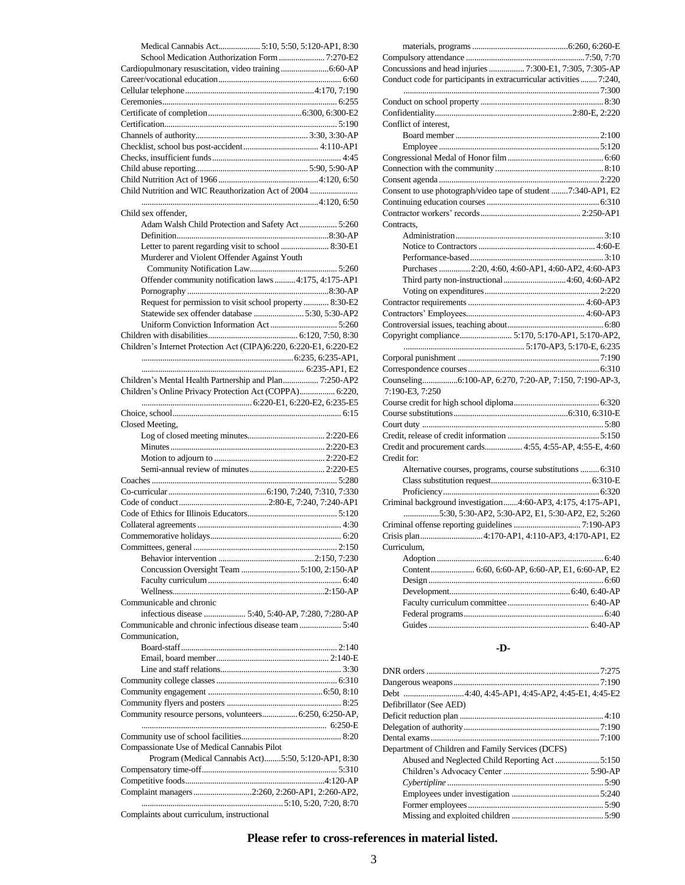| Medical Cannabis Act 5:10, 5:50, 5:120-AP1, 8:30                   |
|--------------------------------------------------------------------|
| School Medication Authorization Form  7:270-E2                     |
|                                                                    |
|                                                                    |
|                                                                    |
|                                                                    |
|                                                                    |
|                                                                    |
|                                                                    |
|                                                                    |
|                                                                    |
|                                                                    |
| Child Nutrition and WIC Reauthorization Act of 2004                |
| Child sex offender.                                                |
| Adam Walsh Child Protection and Safety Act 5:260                   |
|                                                                    |
| Letter to parent regarding visit to school  8:30-E1                |
| Murderer and Violent Offender Against Youth                        |
|                                                                    |
| Offender community notification laws  4:175, 4:175-AP1             |
|                                                                    |
| Request for permission to visit school property  8:30-E2           |
| Statewide sex offender database  5:30, 5:30-AP2                    |
|                                                                    |
| Children's Internet Protection Act (CIPA)6:220, 6:220-E1, 6:220-E2 |
|                                                                    |
|                                                                    |
| Children's Mental Health Partnership and Plan 7:250-AP2            |
| Children's Online Privacy Protection Act (COPPA) 6:220,            |
|                                                                    |
|                                                                    |
|                                                                    |
| Closed Meeting,                                                    |
|                                                                    |
|                                                                    |
|                                                                    |
|                                                                    |
|                                                                    |
|                                                                    |
|                                                                    |
|                                                                    |
|                                                                    |
|                                                                    |
|                                                                    |
| Concussion Oversight Team 5:100, 2:150-AP                          |
|                                                                    |
| Communicable and chronic                                           |
| infectious disease  5:40, 5:40-AP, 7:280, 7:280-AP                 |
|                                                                    |
| Communication.                                                     |
|                                                                    |
|                                                                    |
|                                                                    |
|                                                                    |
|                                                                    |
|                                                                    |
| Community resource persons, volunteers 6:250, 6:250-AP,            |
|                                                                    |
| Compassionate Use of Medical Cannabis Pilot                        |
| Program (Medical Cannabis Act)5:50, 5:120-AP1, 8:30                |
|                                                                    |
|                                                                    |
| Complaint managers 2:260, 2:260-AP1, 2:260-AP2,                    |

| Concussions and head injuries  7:300-E1, 7:305, 7:305-AP            |  |
|---------------------------------------------------------------------|--|
| Conduct code for participants in extracurricular activities  7:240, |  |
|                                                                     |  |
|                                                                     |  |
|                                                                     |  |
| Conflict of interest,                                               |  |
|                                                                     |  |
|                                                                     |  |
|                                                                     |  |
|                                                                     |  |
|                                                                     |  |
|                                                                     |  |
| Consent to use photograph/video tape of student 7:340-AP1, E2       |  |
|                                                                     |  |
|                                                                     |  |
| Contracts,                                                          |  |
|                                                                     |  |
|                                                                     |  |
|                                                                     |  |
| Purchases  2:20, 4:60, 4:60-AP1, 4:60-AP2, 4:60-AP3                 |  |
| Third party non-instructional  4:60, 4:60-AP2                       |  |
|                                                                     |  |
|                                                                     |  |
|                                                                     |  |
|                                                                     |  |
|                                                                     |  |
|                                                                     |  |
|                                                                     |  |
|                                                                     |  |
| Counseling6:100-AP, 6:270, 7:20-AP, 7:150, 7:190-AP-3,              |  |
| 7:190-E3, 7:250                                                     |  |
|                                                                     |  |
|                                                                     |  |
|                                                                     |  |
|                                                                     |  |
| Credit and procurement cards 4:55, 4:55-AP, 4:55-E, 4:60            |  |
| Credit for:                                                         |  |
| Alternative courses, programs, course substitutions  6:310          |  |
|                                                                     |  |
|                                                                     |  |
| Criminal background investigation4:60-AP3, 4:175, 4:175-AP1,        |  |
| 5:30, 5:30-AP2, 5:30-AP2, E1, 5:30-AP2, E2, 5:260                   |  |
|                                                                     |  |
|                                                                     |  |
| Curriculum,                                                         |  |
|                                                                     |  |
| Content 6:60, 6:60-AP, 6:60-AP, E1, 6:60-AP, E2                     |  |
|                                                                     |  |
|                                                                     |  |
|                                                                     |  |
|                                                                     |  |
|                                                                     |  |
|                                                                     |  |

## **-D-**

| Defibrillator (See AED)                           |  |
|---------------------------------------------------|--|
|                                                   |  |
|                                                   |  |
|                                                   |  |
| Department of Children and Family Services (DCFS) |  |
|                                                   |  |
|                                                   |  |
|                                                   |  |
|                                                   |  |
|                                                   |  |
|                                                   |  |

Complaints about curriculum, instructional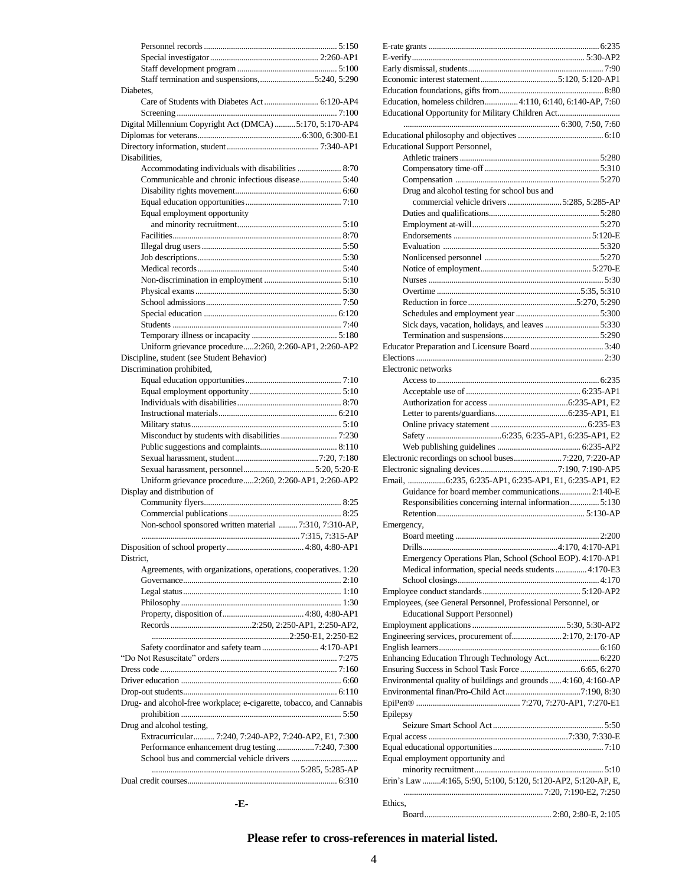|           | Staff termination and suspensions, 5:240, 5:290                      |  |
|-----------|----------------------------------------------------------------------|--|
| Diabetes. |                                                                      |  |
|           |                                                                      |  |
|           |                                                                      |  |
|           | Digital Millennium Copyright Act (DMCA)  5:170, 5:170-AP4            |  |
|           |                                                                      |  |
|           |                                                                      |  |
|           | Disabilities,                                                        |  |
|           |                                                                      |  |
|           |                                                                      |  |
|           |                                                                      |  |
|           | Equal employment opportunity                                         |  |
|           |                                                                      |  |
|           |                                                                      |  |
|           |                                                                      |  |
|           |                                                                      |  |
|           |                                                                      |  |
|           |                                                                      |  |
|           |                                                                      |  |
|           |                                                                      |  |
|           |                                                                      |  |
|           |                                                                      |  |
|           |                                                                      |  |
|           | Uniform grievance procedure2:260, 2:260-AP1, 2:260-AP2               |  |
|           | Discipline, student (see Student Behavior)                           |  |
|           | Discrimination prohibited,                                           |  |
|           |                                                                      |  |
|           |                                                                      |  |
|           |                                                                      |  |
|           |                                                                      |  |
|           |                                                                      |  |
|           |                                                                      |  |
|           |                                                                      |  |
|           |                                                                      |  |
|           |                                                                      |  |
|           | Uniform grievance procedure2:260, 2:260-AP1, 2:260-AP2               |  |
|           | Display and distribution of                                          |  |
|           |                                                                      |  |
|           | Non-school sponsored written material 7:310, 7:310-AP,               |  |
|           |                                                                      |  |
|           |                                                                      |  |
| District. |                                                                      |  |
|           | Agreements, with organizations, operations, cooperatives. 1:20       |  |
|           |                                                                      |  |
|           |                                                                      |  |
|           |                                                                      |  |
|           |                                                                      |  |
|           |                                                                      |  |
|           |                                                                      |  |
|           | Safety coordinator and safety team  4:170-AP1                        |  |
|           |                                                                      |  |
|           |                                                                      |  |
|           |                                                                      |  |
|           |                                                                      |  |
|           | Drug- and alcohol-free workplace; e-cigarette, tobacco, and Cannabis |  |
|           |                                                                      |  |
|           | Drug and alcohol testing,                                            |  |
|           | Extracurricular 7:240, 7:240-AP2, 7:240-AP2, E1, 7:300               |  |
|           | Performance enhancement drug testing7:240, 7:300                     |  |
|           |                                                                      |  |
|           |                                                                      |  |
|           |                                                                      |  |

| Education, homeless children 4:110, 6:140, 6:140-AP, 7:60                                              |
|--------------------------------------------------------------------------------------------------------|
| Educational Opportunity for Military Children Act                                                      |
|                                                                                                        |
| <b>Educational Support Personnel,</b>                                                                  |
|                                                                                                        |
|                                                                                                        |
|                                                                                                        |
| Drug and alcohol testing for school bus and                                                            |
| commercial vehicle drivers 5:285, 5:285-AP                                                             |
|                                                                                                        |
|                                                                                                        |
|                                                                                                        |
|                                                                                                        |
|                                                                                                        |
|                                                                                                        |
|                                                                                                        |
|                                                                                                        |
| Sick days, vacation, holidays, and leaves  5:330                                                       |
|                                                                                                        |
|                                                                                                        |
|                                                                                                        |
| Electronic networks                                                                                    |
|                                                                                                        |
|                                                                                                        |
|                                                                                                        |
|                                                                                                        |
|                                                                                                        |
|                                                                                                        |
|                                                                                                        |
|                                                                                                        |
| Email, 6:235, 6:235-AP1, 6:235-AP1, E1, 6:235-AP1, E2                                                  |
| Guidance for board member communications 2:140-E                                                       |
| Responsibilities concerning internal information 5:130                                                 |
| Emergency,                                                                                             |
|                                                                                                        |
|                                                                                                        |
| Emergency Operations Plan, School (School EOP). 4:170-AP1                                              |
| Medical information, special needs students  4:170-E3                                                  |
|                                                                                                        |
|                                                                                                        |
| Employees, (see General Personnel, Professional Personnel, or<br><b>Educational Support Personnel)</b> |
|                                                                                                        |
| Engineering services, procurement of2:170, 2:170-AP                                                    |
|                                                                                                        |
| Enhancing Education Through Technology Act 6:220                                                       |
|                                                                                                        |
| Environmental quality of buildings and grounds  4:160, 4:160-AP                                        |
|                                                                                                        |
| Epilepsy                                                                                               |
|                                                                                                        |
|                                                                                                        |
|                                                                                                        |
| Equal employment opportunity and                                                                       |
|                                                                                                        |
| Erin's Law 4:165, 5:90, 5:100, 5:120, 5:120-AP2, 5:120-AP, E,                                          |
| Ethics,                                                                                                |

Board............................................................. 2:80, 2:80-E, 2:105

**<sup>-</sup>E-**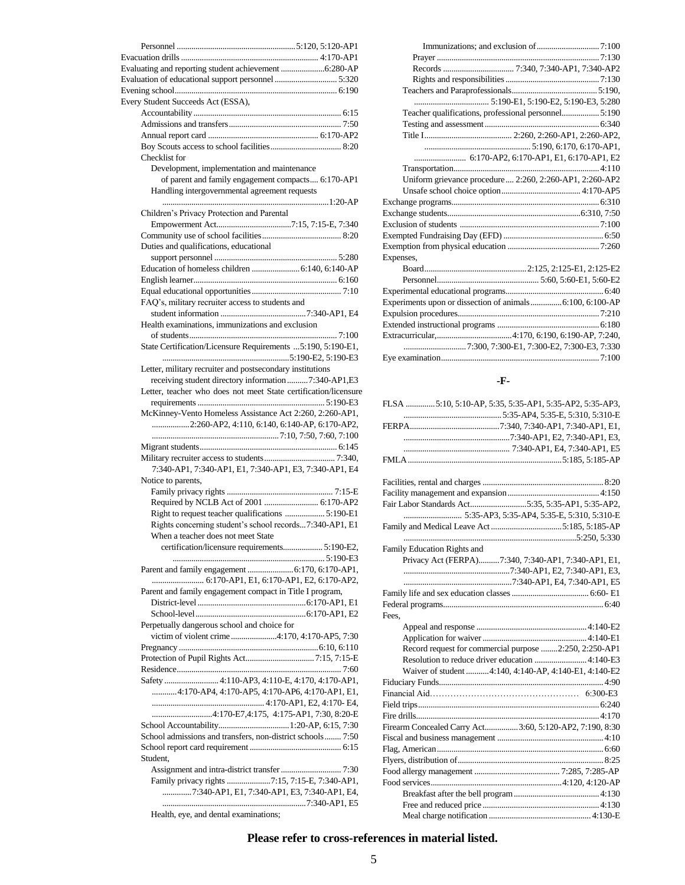| Every Student Succeeds Act (ESSA),                              |  |
|-----------------------------------------------------------------|--|
|                                                                 |  |
|                                                                 |  |
|                                                                 |  |
| Checklist for                                                   |  |
| Development, implementation and maintenance                     |  |
| of parent and family engagement compacts 6:170-AP1              |  |
| Handling intergovernmental agreement requests                   |  |
| Children's Privacy Protection and Parental                      |  |
|                                                                 |  |
|                                                                 |  |
| Duties and qualifications, educational                          |  |
|                                                                 |  |
|                                                                 |  |
|                                                                 |  |
|                                                                 |  |
| FAQ's, military recruiter access to students and                |  |
|                                                                 |  |
| Health examinations, immunizations and exclusion                |  |
|                                                                 |  |
| State Certification/Licensure Requirements  5:190, 5:190-E1,    |  |
|                                                                 |  |
| Letter, military recruiter and postsecondary institutions       |  |
| receiving student directory information 7:340-AP1,E3            |  |
| Letter, teacher who does not meet State certification/licensure |  |
| McKinney-Vento Homeless Assistance Act 2:260, 2:260-AP1,        |  |
| 2:260-AP2, 4:110, 6:140, 6:140-AP, 6:170-AP2,                   |  |
|                                                                 |  |
|                                                                 |  |
|                                                                 |  |
| 7:340-AP1, 7:340-AP1, E1, 7:340-AP1, E3, 7:340-AP1, E4          |  |
| Notice to parents,                                              |  |
|                                                                 |  |
|                                                                 |  |
|                                                                 |  |
| Rights concerning student's school records7:340-AP1, E1         |  |
| When a teacher does not meet State                              |  |
| certification/licensure requirements 5:190-E2,                  |  |
|                                                                 |  |
| 6:170-AP1, E1, 6:170-AP1, E2, 6:170-AP2,                        |  |
| Parent and family engagement compact in Title I program,        |  |
|                                                                 |  |
|                                                                 |  |
| Perpetually dangerous school and choice for                     |  |
| victim of violent crime4:170, 4:170-AP5, 7:30                   |  |
|                                                                 |  |
|                                                                 |  |
|                                                                 |  |
| Safety  4:110-AP3, 4:110-E, 4:170, 4:170-AP1,                   |  |
| 4:170-AP4, 4:170-AP5, 4:170-AP6, 4:170-AP1, E1,                 |  |
|                                                                 |  |
| 4:170-E7,4:175, 4:175-AP1, 7:30, 8:20-E                         |  |
|                                                                 |  |
| School admissions and transfers, non-district schools 7:50      |  |
|                                                                 |  |
| Student,                                                        |  |
| Family privacy rights 7:15, 7:15-E, 7:340-AP1,                  |  |
| 7:340-AP1, E1, 7:340-AP1, E3, 7:340-AP1, E4,                    |  |
|                                                                 |  |
| Health, eye, and dental examinations;                           |  |

| Teacher qualifications, professional personnel 5:190     |
|----------------------------------------------------------|
|                                                          |
|                                                          |
|                                                          |
| 6:170-AP2, 6:170-AP1, E1, 6:170-AP1, E2                  |
|                                                          |
| Uniform grievance procedure 2:260, 2:260-AP1, 2:260-AP2  |
|                                                          |
|                                                          |
|                                                          |
|                                                          |
|                                                          |
|                                                          |
| Expenses,                                                |
|                                                          |
|                                                          |
|                                                          |
| Experiments upon or dissection of animals6:100, 6:100-AP |
|                                                          |
|                                                          |
|                                                          |
|                                                          |
|                                                          |
|                                                          |

### **-F-**

|                             | FLSA 5:10, 5:10-AP, 5:35, 5:35-AP1, 5:35-AP2, 5:35-AP3,  |
|-----------------------------|----------------------------------------------------------|
|                             |                                                          |
|                             |                                                          |
|                             |                                                          |
|                             |                                                          |
|                             |                                                          |
|                             |                                                          |
|                             |                                                          |
|                             |                                                          |
|                             | Fair Labor Standards Act5:35, 5:35-AP1, 5:35-AP2,        |
|                             |                                                          |
|                             |                                                          |
|                             |                                                          |
| Family Education Rights and |                                                          |
|                             | Privacy Act (FERPA)7:340, 7:340-AP1, 7:340-AP1, E1,      |
|                             |                                                          |
|                             |                                                          |
|                             |                                                          |
|                             |                                                          |
| Fees.                       |                                                          |
|                             |                                                          |
|                             |                                                          |
|                             | Record request for commercial purpose 2:250, 2:250-AP1   |
|                             | Resolution to reduce driver education  4:140-E3          |
|                             | Waiver of student  4:140, 4:140-AP, 4:140-E1, 4:140-E2   |
|                             |                                                          |
|                             |                                                          |
|                             |                                                          |
|                             |                                                          |
|                             | Firearm Concealed Carry Act 3:60, 5:120-AP2, 7:190, 8:30 |
|                             |                                                          |
|                             |                                                          |
|                             |                                                          |
|                             |                                                          |
|                             |                                                          |
|                             |                                                          |
|                             |                                                          |
|                             |                                                          |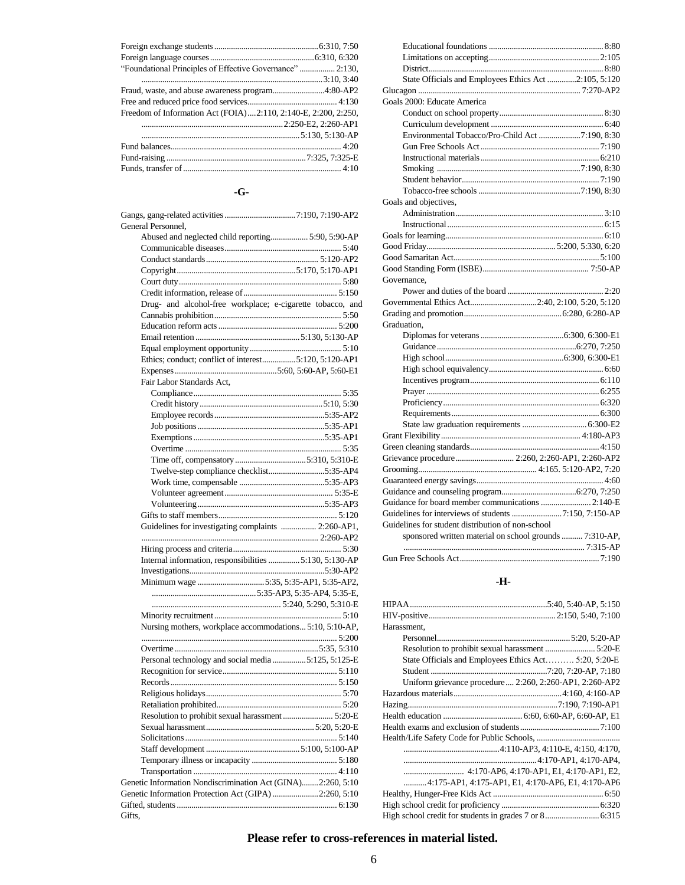| "Foundational Principles of Effective Governance"  2:130,      |  |
|----------------------------------------------------------------|--|
|                                                                |  |
| Fraud, waste, and abuse awareness program4:80-AP2              |  |
|                                                                |  |
| Freedom of Information Act (FOIA)2:110, 2:140-E, 2:200, 2:250, |  |
|                                                                |  |
|                                                                |  |
|                                                                |  |
|                                                                |  |
|                                                                |  |

# **-G-**

| General Personnel,                                          |
|-------------------------------------------------------------|
| Abused and neglected child reporting 5:90, 5:90-AP          |
|                                                             |
|                                                             |
|                                                             |
|                                                             |
|                                                             |
| Drug- and alcohol-free workplace; e-cigarette tobacco, and  |
|                                                             |
|                                                             |
|                                                             |
|                                                             |
| Ethics; conduct; conflict of interest5:120, 5:120-AP1       |
|                                                             |
| Fair Labor Standards Act,                                   |
|                                                             |
|                                                             |
|                                                             |
|                                                             |
|                                                             |
|                                                             |
|                                                             |
| Twelve-step compliance checklist5:35-AP4                    |
|                                                             |
|                                                             |
|                                                             |
|                                                             |
| Guidelines for investigating complaints  2:260-AP1,         |
|                                                             |
|                                                             |
|                                                             |
|                                                             |
|                                                             |
|                                                             |
|                                                             |
|                                                             |
| Nursing mothers, workplace accommodations 5:10, 5:10-AP,    |
|                                                             |
|                                                             |
| Personal technology and social media 5:125, 5:125-E         |
|                                                             |
|                                                             |
|                                                             |
|                                                             |
| Resolution to prohibit sexual harassment  5:20-E            |
|                                                             |
|                                                             |
|                                                             |
|                                                             |
|                                                             |
| Genetic Information Nondiscrimination Act (GINA)2:260, 5:10 |
| Genetic Information Protection Act (GIPA) 2:260, 5:10       |
|                                                             |
| Gifts,                                                      |

| State Officials and Employees Ethics Act 2:105, 5:120   |  |
|---------------------------------------------------------|--|
|                                                         |  |
| Goals 2000: Educate America                             |  |
|                                                         |  |
|                                                         |  |
| Environmental Tobacco/Pro-Child Act 7:190, 8:30         |  |
|                                                         |  |
|                                                         |  |
|                                                         |  |
|                                                         |  |
|                                                         |  |
| Goals and objectives,                                   |  |
|                                                         |  |
|                                                         |  |
|                                                         |  |
|                                                         |  |
|                                                         |  |
|                                                         |  |
| Governance,                                             |  |
|                                                         |  |
| Governmental Ethics Act2:40, 2:100, 5:20, 5:120         |  |
|                                                         |  |
| Graduation,                                             |  |
|                                                         |  |
|                                                         |  |
|                                                         |  |
|                                                         |  |
|                                                         |  |
|                                                         |  |
|                                                         |  |
|                                                         |  |
|                                                         |  |
|                                                         |  |
|                                                         |  |
| Grievance procedure 2:260, 2:260-AP1, 2:260-AP2         |  |
|                                                         |  |
|                                                         |  |
|                                                         |  |
| Guidance for board member communications  2:140-E       |  |
|                                                         |  |
| Guidelines for student distribution of non-school       |  |
| sponsored written material on school grounds  7:310-AP, |  |
|                                                         |  |
|                                                         |  |
|                                                         |  |

### **-H-**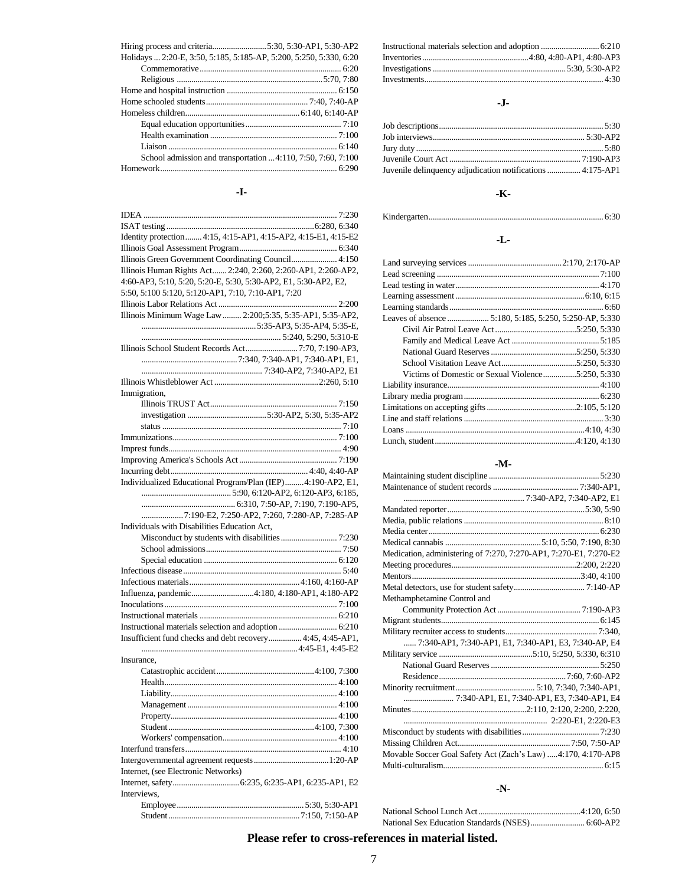| Holidays  2:20-E, 3:50, 5:185, 5:185-AP, 5:200, 5:250, 5:330, 6:20 |
|--------------------------------------------------------------------|
|                                                                    |
|                                                                    |
|                                                                    |
|                                                                    |
|                                                                    |
|                                                                    |
|                                                                    |
|                                                                    |
| School admission and transportation 4:110, 7:50, 7:60, 7:100       |
|                                                                    |

### **-I-**

| Identity protection 4:15, 4:15-AP1, 4:15-AP2, 4:15-E1, 4:15-E2  |  |
|-----------------------------------------------------------------|--|
|                                                                 |  |
| Illinois Green Government Coordinating Council 4:150            |  |
| Illinois Human Rights Act 2:240, 2:260, 2:260-AP1, 2:260-AP2,   |  |
| 4:60-AP3, 5:10, 5:20, 5:20-E, 5:30, 5:30-AP2, E1, 5:30-AP2, E2, |  |
| 5:50, 5:100 5:120, 5:120-AP1, 7:10, 7:10-AP1, 7:20              |  |
|                                                                 |  |
| Illinois Minimum Wage Law  2:200;5:35, 5:35-AP1, 5:35-AP2,      |  |
|                                                                 |  |
|                                                                 |  |
|                                                                 |  |
|                                                                 |  |
|                                                                 |  |
|                                                                 |  |
| Immigration,                                                    |  |
|                                                                 |  |
|                                                                 |  |
|                                                                 |  |
|                                                                 |  |
|                                                                 |  |
|                                                                 |  |
|                                                                 |  |
| Individualized Educational Program/Plan (IEP)4:190-AP2, E1,     |  |
|                                                                 |  |
|                                                                 |  |
| 7:190-E2, 7:250-AP2, 7:260, 7:280-AP, 7:285-AP                  |  |
| Individuals with Disabilities Education Act,                    |  |
|                                                                 |  |
|                                                                 |  |
|                                                                 |  |
|                                                                 |  |
|                                                                 |  |
| Influenza, pandemic4:180, 4:180-AP1, 4:180-AP2                  |  |
|                                                                 |  |
|                                                                 |  |
|                                                                 |  |
| Insufficient fund checks and debt recovery 4:45, 4:45-AP1,      |  |
|                                                                 |  |
| Insurance,                                                      |  |
|                                                                 |  |
|                                                                 |  |
|                                                                 |  |
|                                                                 |  |
|                                                                 |  |
|                                                                 |  |
|                                                                 |  |
|                                                                 |  |
|                                                                 |  |
|                                                                 |  |
|                                                                 |  |
| Internet, (see Electronic Networks)                             |  |
|                                                                 |  |
| Interviews,                                                     |  |
|                                                                 |  |

### **-J-**

| Juvenile delinquency adjudication notifications  4:175-AP1 |  |
|------------------------------------------------------------|--|

# **-K-**

Kindergarten.................................................................................... 6:30

# **-L-**

| Victims of Domestic or Sexual Violence5:250, 5:330 |  |
|----------------------------------------------------|--|
|                                                    |  |
|                                                    |  |
|                                                    |  |
|                                                    |  |
|                                                    |  |
|                                                    |  |

#### **-M-**

| Medication, administering of 7:270, 7:270-AP1, 7:270-E1, 7:270-E2 |  |
|-------------------------------------------------------------------|--|
|                                                                   |  |
|                                                                   |  |
|                                                                   |  |
| Methamphetamine Control and                                       |  |
|                                                                   |  |
|                                                                   |  |
|                                                                   |  |
| 7:340-AP1, 7:340-AP1, E1, 7:340-AP1, E3, 7:340-AP, E4             |  |
|                                                                   |  |
|                                                                   |  |
|                                                                   |  |
|                                                                   |  |
| 7:340-AP1, E1, 7:340-AP1, E3, 7:340-AP1, E4                       |  |
|                                                                   |  |
|                                                                   |  |
|                                                                   |  |
|                                                                   |  |
| Movable Soccer Goal Safety Act (Zach's Law) 4:170, 4:170-AP8      |  |
|                                                                   |  |
|                                                                   |  |

### **-N-**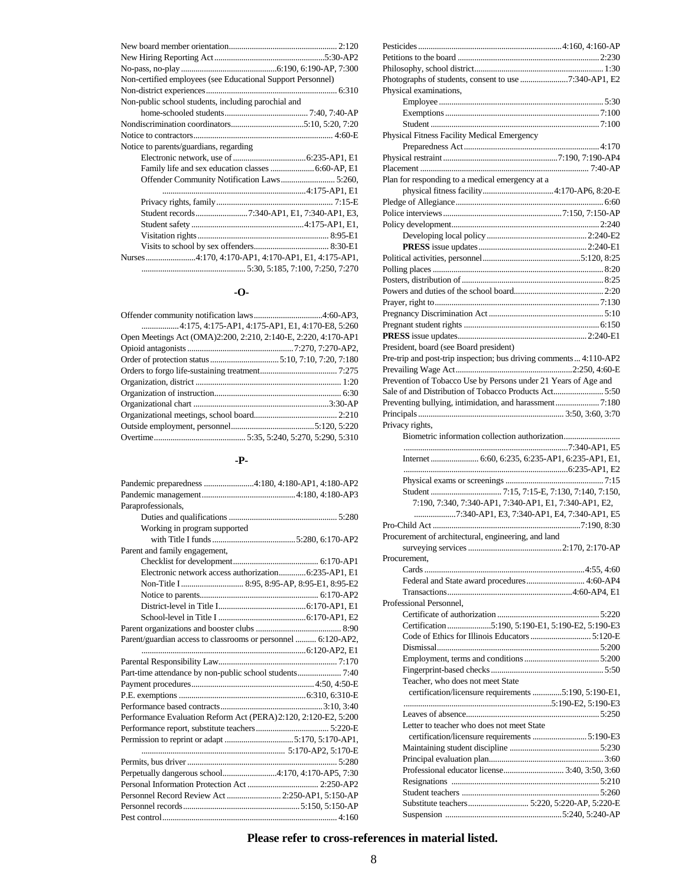| Non-certified employees (see Educational Support Personnel) |
|-------------------------------------------------------------|
|                                                             |
| Non-public school students, including parochial and         |
|                                                             |
|                                                             |
|                                                             |
| Notice to parents/guardians, regarding                      |
|                                                             |
| Family life and sex education classes  6:60-AP, E1          |
| Offender Community Notification Laws 5:260,                 |
|                                                             |
|                                                             |
|                                                             |
|                                                             |
|                                                             |
|                                                             |
|                                                             |
|                                                             |

### **-O-**

|                                                                | 4:175, 4:175-AP1, 4:175-AP1, E1, 4:170-E8, 5:260 |
|----------------------------------------------------------------|--------------------------------------------------|
| Open Meetings Act (OMA)2:200, 2:210, 2:140-E, 2:220, 4:170-AP1 |                                                  |
|                                                                |                                                  |
|                                                                |                                                  |
|                                                                |                                                  |
|                                                                |                                                  |
|                                                                |                                                  |
|                                                                |                                                  |
|                                                                |                                                  |
|                                                                |                                                  |
|                                                                |                                                  |
|                                                                |                                                  |

### **-P-**

| Pandemic preparedness 4:180, 4:180-AP1, 4:180-AP2               |
|-----------------------------------------------------------------|
|                                                                 |
| Paraprofessionals,                                              |
|                                                                 |
| Working in program supported                                    |
|                                                                 |
| Parent and family engagement,                                   |
|                                                                 |
| Electronic network access authorization 6:235-AP1, E1           |
|                                                                 |
|                                                                 |
|                                                                 |
|                                                                 |
|                                                                 |
| Parent/guardian access to classrooms or personnel  6:120-AP2,   |
|                                                                 |
|                                                                 |
|                                                                 |
|                                                                 |
|                                                                 |
|                                                                 |
|                                                                 |
| Performance Evaluation Reform Act (PERA) 2:120, 2:120-E2, 5:200 |
|                                                                 |
|                                                                 |
|                                                                 |
|                                                                 |
| Perpetually dangerous school4:170, 4:170-AP5, 7:30              |
|                                                                 |
| Personnel Record Review Act  2:250-AP1, 5:150-AP                |
|                                                                 |

| Photographs of students, consent to use 7:340-AP1, E2              |
|--------------------------------------------------------------------|
| Physical examinations,                                             |
|                                                                    |
|                                                                    |
|                                                                    |
| Physical Fitness Facility Medical Emergency                        |
|                                                                    |
|                                                                    |
|                                                                    |
| Plan for responding to a medical emergency at a                    |
|                                                                    |
|                                                                    |
|                                                                    |
|                                                                    |
|                                                                    |
|                                                                    |
|                                                                    |
|                                                                    |
|                                                                    |
|                                                                    |
|                                                                    |
|                                                                    |
|                                                                    |
|                                                                    |
| President, board (see Board president)                             |
| Pre-trip and post-trip inspection; bus driving comments  4:110-AP2 |
|                                                                    |
| Prevention of Tobacco Use by Persons under 21 Years of Age and     |
| Sale of and Distribution of Tobacco Products Act5:50               |
| Preventing bullying, intimidation, and harassment7:180             |
|                                                                    |
| Privacy rights,                                                    |
|                                                                    |
| Biometric information collection authorization                     |
|                                                                    |
|                                                                    |
|                                                                    |
|                                                                    |
|                                                                    |
| 7:190, 7:340, 7:340-AP1, 7:340-AP1, E1, 7:340-AP1, E2,             |
| 7:340-AP1, E3, 7:340-AP1, E4, 7:340-AP1, E5                        |
|                                                                    |
| Procurement of architectural, engineering, and land                |
|                                                                    |
| Procurement,                                                       |
|                                                                    |
| Federal and State award procedures 4:60-AP4                        |
|                                                                    |
| Professional Personnel.                                            |
|                                                                    |
| Certification 5:190, 5:190-E1, 5:190-E2, 5:190-E3                  |
|                                                                    |
|                                                                    |
|                                                                    |
|                                                                    |
| Teacher, who does not meet State                                   |
| certification/licensure requirements 5:190, 5:190-E1,              |
|                                                                    |
|                                                                    |
| Letter to teacher who does not meet State                          |
|                                                                    |
|                                                                    |
|                                                                    |
| Professional educator license 3:40, 3:50, 3:60                     |
|                                                                    |
|                                                                    |
|                                                                    |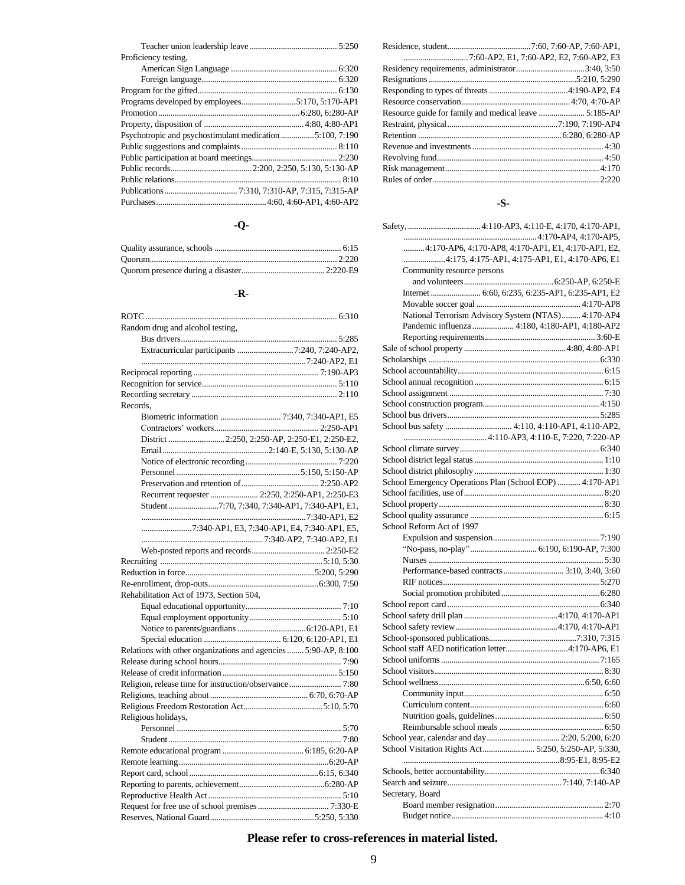| Proficiency testing. |
|----------------------|
|                      |
|                      |
|                      |
|                      |
|                      |
|                      |
|                      |
|                      |
|                      |
|                      |
|                      |
|                      |
|                      |

### **-Q-**

### **-R-**

| Random drug and alcohol testing,                                |  |
|-----------------------------------------------------------------|--|
|                                                                 |  |
|                                                                 |  |
|                                                                 |  |
|                                                                 |  |
|                                                                 |  |
|                                                                 |  |
| Records.                                                        |  |
|                                                                 |  |
|                                                                 |  |
| District  2:250, 2:250-AP, 2:250-E1, 2:250-E2,                  |  |
|                                                                 |  |
|                                                                 |  |
|                                                                 |  |
|                                                                 |  |
| Recurrent requester  2:250, 2:250-AP1, 2:250-E3                 |  |
|                                                                 |  |
| Student 7:70, 7:340, 7:340-AP1, 7:340-AP1, E1,                  |  |
|                                                                 |  |
| 7:340-AP1, E3, 7:340-AP1, E4, 7:340-AP1, E5,                    |  |
|                                                                 |  |
|                                                                 |  |
|                                                                 |  |
|                                                                 |  |
|                                                                 |  |
| Rehabilitation Act of 1973, Section 504,                        |  |
|                                                                 |  |
|                                                                 |  |
|                                                                 |  |
|                                                                 |  |
| Relations with other organizations and agencies  5:90-AP, 8:100 |  |
|                                                                 |  |
|                                                                 |  |
|                                                                 |  |
|                                                                 |  |
|                                                                 |  |
| Religious holidays,                                             |  |
|                                                                 |  |
|                                                                 |  |
|                                                                 |  |
|                                                                 |  |
|                                                                 |  |
|                                                                 |  |
|                                                                 |  |
|                                                                 |  |
|                                                                 |  |
|                                                                 |  |

# **-S-**

| 4:170-AP6, 4:170-AP8, 4:170-AP1, E1, 4:170-AP1, E2,      |
|----------------------------------------------------------|
| 4:175, 4:175-AP1, 4:175-AP1, E1, 4:170-AP6, E1           |
| Community resource persons                               |
|                                                          |
|                                                          |
|                                                          |
| National Terrorism Advisory System (NTAS) 4:170-AP4      |
| Pandemic influenza  4:180, 4:180-AP1, 4:180-AP2          |
|                                                          |
|                                                          |
|                                                          |
|                                                          |
|                                                          |
|                                                          |
|                                                          |
|                                                          |
|                                                          |
|                                                          |
|                                                          |
|                                                          |
|                                                          |
|                                                          |
| School Emergency Operations Plan (School EOP)  4:170-AP1 |
|                                                          |
|                                                          |
|                                                          |
| School Reform Act of 1997                                |
|                                                          |
|                                                          |
|                                                          |
| Performance-based contracts 3:10, 3:40, 3:60             |
|                                                          |
|                                                          |
|                                                          |
|                                                          |
|                                                          |
|                                                          |
|                                                          |
|                                                          |
|                                                          |
|                                                          |
|                                                          |
|                                                          |
|                                                          |
|                                                          |
|                                                          |
| School Visitation Rights Act 5:250, 5:250-AP, 5:330,     |
|                                                          |
|                                                          |
|                                                          |
| Secretary, Board                                         |
|                                                          |
|                                                          |
|                                                          |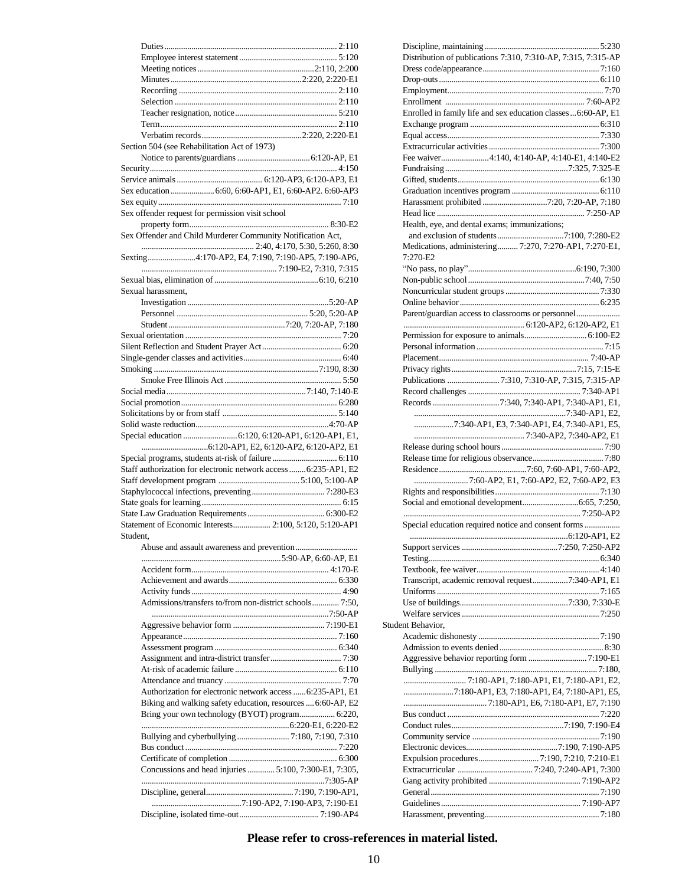|                    | Section 504 (see Rehabilitation Act of 1973)                     |  |
|--------------------|------------------------------------------------------------------|--|
|                    |                                                                  |  |
|                    |                                                                  |  |
|                    |                                                                  |  |
|                    | Sex education  6:60, 6:60-AP1, E1, 6:60-AP2. 6:60-AP3            |  |
|                    |                                                                  |  |
|                    | Sex offender request for permission visit school                 |  |
|                    |                                                                  |  |
|                    | Sex Offender and Child Murderer Community Notification Act,      |  |
|                    |                                                                  |  |
|                    | Sexting4:170-AP2, E4, 7:190, 7:190-AP5, 7:190-AP6,               |  |
|                    |                                                                  |  |
|                    |                                                                  |  |
| Sexual harassment. |                                                                  |  |
|                    |                                                                  |  |
|                    |                                                                  |  |
|                    |                                                                  |  |
|                    |                                                                  |  |
|                    |                                                                  |  |
|                    |                                                                  |  |
|                    |                                                                  |  |
|                    |                                                                  |  |
|                    |                                                                  |  |
|                    |                                                                  |  |
|                    |                                                                  |  |
|                    |                                                                  |  |
|                    |                                                                  |  |
|                    |                                                                  |  |
|                    |                                                                  |  |
|                    | Staff authorization for electronic network access  6:235-AP1, E2 |  |
|                    |                                                                  |  |
|                    |                                                                  |  |
|                    |                                                                  |  |
|                    |                                                                  |  |
|                    | Statement of Economic Interests 2:100, 5:120, 5:120-AP1          |  |
| Student.           |                                                                  |  |
|                    |                                                                  |  |
|                    |                                                                  |  |
|                    |                                                                  |  |
|                    |                                                                  |  |
|                    | Admissions/transfers to/from non-district schools 7:50,          |  |
|                    |                                                                  |  |
|                    |                                                                  |  |
|                    |                                                                  |  |
|                    |                                                                  |  |
|                    |                                                                  |  |
|                    |                                                                  |  |
|                    |                                                                  |  |
|                    | Authorization for electronic network access  6:235-AP1, E1       |  |
|                    | Biking and walking safety education, resources  6:60-AP, E2      |  |
|                    | Bring your own technology (BYOT) program 6:220,                  |  |
|                    |                                                                  |  |
|                    |                                                                  |  |
|                    |                                                                  |  |
|                    |                                                                  |  |
|                    | Concussions and head injuries  5:100, 7:300-E1, 7:305,           |  |
|                    |                                                                  |  |
|                    |                                                                  |  |

|                                                                | Distribution of publications 7:310, 7:310-AP, 7:315, 7:315-AP |
|----------------------------------------------------------------|---------------------------------------------------------------|
|                                                                |                                                               |
|                                                                |                                                               |
|                                                                |                                                               |
|                                                                |                                                               |
| Enrolled in family life and sex education classes  6:60-AP, E1 |                                                               |
|                                                                |                                                               |
|                                                                |                                                               |
|                                                                |                                                               |
| Fee waiver4:140, 4:140-AP, 4:140-E1, 4:140-E2                  |                                                               |
|                                                                |                                                               |
|                                                                |                                                               |
|                                                                |                                                               |
|                                                                |                                                               |
|                                                                |                                                               |
|                                                                |                                                               |
| Health, eye, and dental exams; immunizations;                  |                                                               |
|                                                                |                                                               |
| Medications, administering 7:270, 7:270-AP1, 7:270-E1,         |                                                               |
| 7:270-E2                                                       |                                                               |
|                                                                |                                                               |
|                                                                |                                                               |
|                                                                |                                                               |
|                                                                |                                                               |
|                                                                |                                                               |
| Parent/guardian access to classrooms or personnel              |                                                               |
|                                                                |                                                               |
|                                                                |                                                               |
|                                                                |                                                               |
|                                                                |                                                               |
|                                                                |                                                               |
|                                                                |                                                               |
|                                                                |                                                               |
|                                                                |                                                               |
|                                                                |                                                               |
|                                                                |                                                               |
|                                                                | 7:340-AP1, E3, 7:340-AP1, E4, 7:340-AP1, E5,                  |
|                                                                |                                                               |
|                                                                |                                                               |
|                                                                |                                                               |
|                                                                |                                                               |
|                                                                |                                                               |
|                                                                |                                                               |
|                                                                | 7:60-AP2, E1, 7:60-AP2, E2, 7:60-AP2, E3                      |
|                                                                |                                                               |
|                                                                |                                                               |
|                                                                |                                                               |
| Special education required notice and consent forms            |                                                               |
|                                                                |                                                               |
|                                                                |                                                               |
|                                                                |                                                               |
|                                                                |                                                               |
|                                                                |                                                               |
| Transcript, academic removal request7:340-AP1, E1              |                                                               |
|                                                                |                                                               |
|                                                                |                                                               |
|                                                                |                                                               |
| Student Behavior.                                              |                                                               |
|                                                                |                                                               |
|                                                                |                                                               |
|                                                                |                                                               |
|                                                                |                                                               |
|                                                                |                                                               |
|                                                                |                                                               |
| 7:180-AP1, E3, 7:180-AP1, E4, 7:180-AP1, E5,                   |                                                               |
|                                                                |                                                               |
|                                                                |                                                               |
|                                                                |                                                               |
|                                                                |                                                               |
|                                                                |                                                               |
|                                                                |                                                               |
|                                                                |                                                               |
|                                                                |                                                               |
|                                                                |                                                               |
|                                                                |                                                               |
|                                                                |                                                               |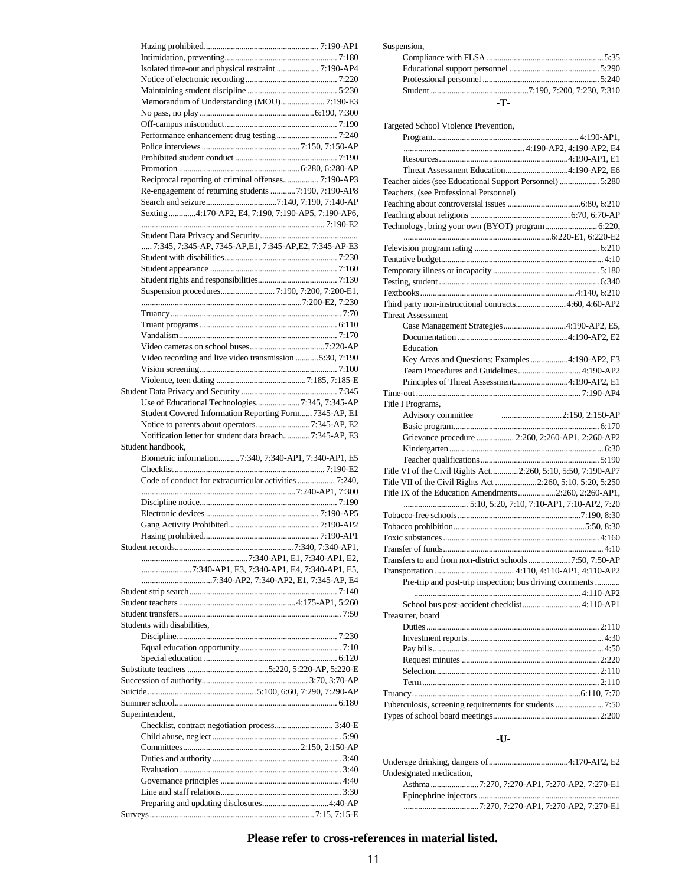| Memorandum of Understanding (MOU) 7:190-E3               |
|----------------------------------------------------------|
|                                                          |
|                                                          |
|                                                          |
|                                                          |
|                                                          |
| Reciprocal reporting of criminal offenses 7:190-AP3      |
| Re-engagement of returning students  7:190, 7:190-AP8    |
|                                                          |
| Sexting4:170-AP2, E4, 7:190, 7:190-AP5, 7:190-AP6,       |
|                                                          |
|                                                          |
| 7:345, 7:345-AP, 7345-AP, E1, 7:345-AP, E2, 7:345-AP-E3  |
|                                                          |
|                                                          |
|                                                          |
|                                                          |
|                                                          |
|                                                          |
|                                                          |
|                                                          |
|                                                          |
| Video recording and live video transmission 5:30, 7:190  |
|                                                          |
|                                                          |
| Use of Educational Technologies7:345, 7:345-AP           |
| Student Covered Information Reporting Form 7345-AP, E1   |
| Notice to parents about operators7:345-AP, E2            |
| Notification letter for student data breach 7:345-AP, E3 |
| Student handbook.                                        |
| Biometric information 7:340, 7:340-AP1, 7:340-AP1, E5    |
|                                                          |
|                                                          |
|                                                          |
|                                                          |
|                                                          |
|                                                          |
|                                                          |
|                                                          |
|                                                          |
|                                                          |
| 7:340-AP1, E3, 7:340-AP1, E4, 7:340-AP1, E5,             |
|                                                          |
|                                                          |
|                                                          |
|                                                          |
| Students with disabilities,                              |
|                                                          |
|                                                          |
|                                                          |
|                                                          |
|                                                          |
|                                                          |
| Superintendent,                                          |
|                                                          |
|                                                          |
|                                                          |
|                                                          |
|                                                          |
|                                                          |
|                                                          |
|                                                          |

| Suspension, |
|-------------|
|             |
|             |

| -т. |  |  |
|-----|--|--|

| Targeted School Violence Prevention,                          |
|---------------------------------------------------------------|
|                                                               |
|                                                               |
|                                                               |
|                                                               |
| Teacher aides (see Educational Support Personnel)  5:280      |
| Teachers, (see Professional Personnel)                        |
|                                                               |
|                                                               |
| Technology, bring your own (BYOT) program 6:220,              |
|                                                               |
|                                                               |
|                                                               |
|                                                               |
|                                                               |
|                                                               |
| Third party non-instructional contracts 4:60, 4:60-AP2        |
| <b>Threat Assessment</b>                                      |
| Case Management Strategies4:190-AP2, E5,                      |
|                                                               |
| Education                                                     |
| Key Areas and Questions; Examples 4:190-AP2, E3               |
| Team Procedures and Guidelines  4:190-AP2                     |
| Principles of Threat Assessment4:190-AP2, E1                  |
|                                                               |
| Title I Programs,                                             |
| Advisory committee                                            |
|                                                               |
|                                                               |
| Grievance procedure  2:260, 2:260-AP1, 2:260-AP2              |
|                                                               |
|                                                               |
| Title VI of the Civil Rights Act 2:260, 5:10, 5:50, 7:190-AP7 |
| Title VII of the Civil Rights Act 2:260, 5:10, 5:20, 5:250    |
| Title IX of the Education Amendments 2:260, 2:260-AP1,        |
|                                                               |
|                                                               |
|                                                               |
|                                                               |
|                                                               |
| Transfers to and from non-district schools  7:50, 7:50-AP     |
|                                                               |
| Pre-trip and post-trip inspection; bus driving comments       |
|                                                               |
| School bus post-accident checklist 4:110-AP1                  |
| Treasurer, board                                              |
|                                                               |
|                                                               |
|                                                               |
|                                                               |
|                                                               |
|                                                               |
|                                                               |
| Tuberculosis, screening requirements for students  7:50       |
|                                                               |

### **-U-**

| Undesignated medication, |  |
|--------------------------|--|
|                          |  |
|                          |  |
|                          |  |